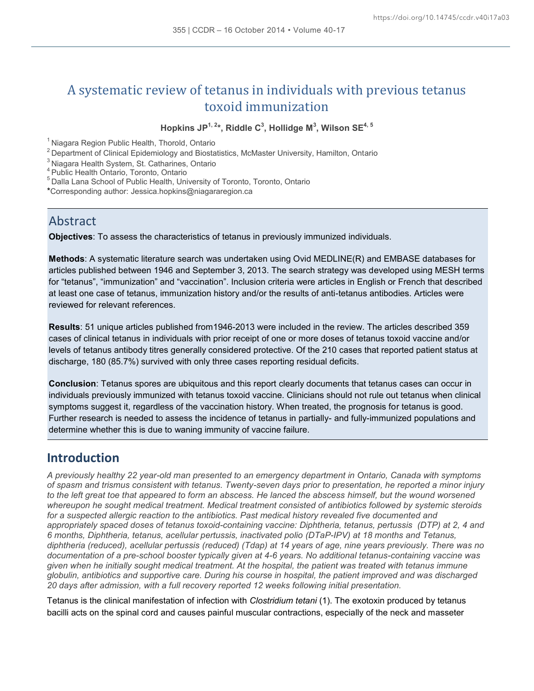# A systematic review of tetanus in individuals with previous tetanus toxoid immunization

**Hopkins JP1, 2\*, Riddle C<sup>3</sup> , Hollidge M<sup>3</sup> , Wilson SE4, 5**

<sup>1</sup> Niagara Region Public Health, Thorold, Ontario

<sup>2</sup> Department of Clinical Epidemiology and Biostatistics, McMaster University, Hamilton, Ontario

<sup>3</sup> Niagara Health System, St. Catharines, Ontario

<sup>4</sup> Public Health Ontario, Toronto, Ontario

<sup>5</sup> Dalla Lana School of Public Health, University of Toronto, Toronto, Ontario

\*Corresponding author: Jessica.hopkins@niagararegion.ca

#### **Abstract**

**Objectives**: To assess the characteristics of tetanus in previously immunized individuals.

**Methods**: A systematic literature search was undertaken using Ovid MEDLINE(R) and EMBASE databases for articles published between 1946 and September 3, 2013. The search strategy was developed using MESH terms for "tetanus", "immunization" and "vaccination". Inclusion criteria were articles in English or French that described at least one case of tetanus, immunization history and/or the results of anti-tetanus antibodies. Articles were reviewed for relevant references.

**Results**: 51 unique articles published from1946-2013 were included in the review. The articles described 359 cases of clinical tetanus in individuals with prior receipt of one or more doses of tetanus toxoid vaccine and/or levels of tetanus antibody titres generally considered protective. Of the 210 cases that reported patient status at discharge, 180 (85.7%) survived with only three cases reporting residual deficits.

**Conclusion**: Tetanus spores are ubiquitous and this report clearly documents that tetanus cases can occur in individuals previously immunized with tetanus toxoid vaccine. Clinicians should not rule out tetanus when clinical symptoms suggest it, regardless of the vaccination history. When treated, the prognosis for tetanus is good. Further research is needed to assess the incidence of tetanus in partially- and fully-immunized populations and determine whether this is due to waning immunity of vaccine failure.

## **Introduction**

*A previously healthy 22 year-old man presented to an emergency department in Ontario, Canada with symptoms of spasm and trismus consistent with tetanus. Twenty-seven days prior to presentation, he reported a minor injury to the left great toe that appeared to form an abscess. He lanced the abscess himself, but the wound worsened whereupon he sought medical treatment. Medical treatment consisted of antibiotics followed by systemic steroids for a suspected allergic reaction to the antibiotics. Past medical history revealed five documented and appropriately spaced doses of tetanus toxoid-containing vaccine: Diphtheria, tetanus, pertussis (DTP) at 2, 4 and 6 months, Diphtheria, tetanus, acellular pertussis, inactivated polio (DTaP-IPV) at 18 months and Tetanus, diphtheria (reduced), acellular pertussis (reduced) (Tdap) at 14 years of age, nine years previously. There was no documentation of a pre-school booster typically given at 4-6 years. No additional tetanus-containing vaccine was given when he initially sought medical treatment. At the hospital, the patient was treated with tetanus immune globulin, antibiotics and supportive care. During his course in hospital, the patient improved and was discharged 20 days after admission, with a full recovery reported 12 weeks following initial presentation.* 

Tetanus is the clinical manifestation of infection with *Clostridium tetani* (1). The exotoxin produced by tetanus bacilli acts on the spinal cord and causes painful muscular contractions, especially of the neck and masseter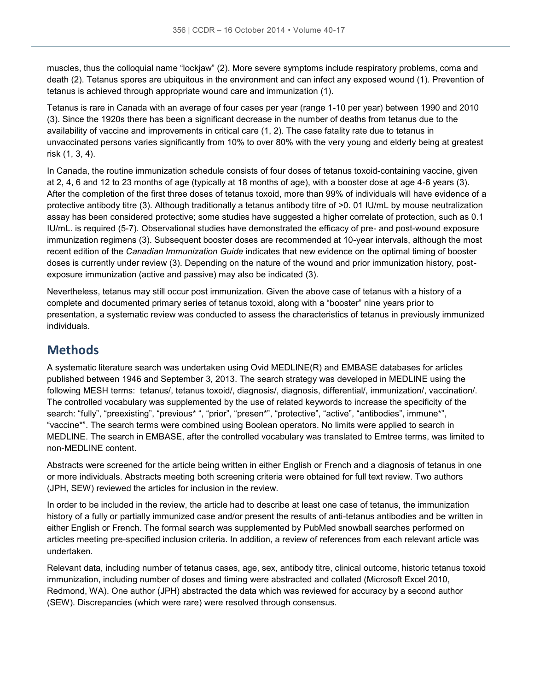muscles, thus the colloquial name "lockjaw" (2). More severe symptoms include respiratory problems, coma and death (2). Tetanus spores are ubiquitous in the environment and can infect any exposed wound (1). Prevention of tetanus is achieved through appropriate wound care and immunization (1).

Tetanus is rare in Canada with an average of four cases per year (range 1-10 per year) between 1990 and 2010 (3). Since the 1920s there has been a significant decrease in the number of deaths from tetanus due to the availability of vaccine and improvements in critical care (1, 2). The case fatality rate due to tetanus in unvaccinated persons varies significantly from 10% to over 80% with the very young and elderly being at greatest risk (1, 3, 4).

In Canada, the routine immunization schedule consists of four doses of tetanus toxoid-containing vaccine, given at 2, 4, 6 and 12 to 23 months of age (typically at 18 months of age), with a booster dose at age 4-6 years (3). After the completion of the first three doses of tetanus toxoid, more than 99% of individuals will have evidence of a protective antibody titre (3). Although traditionally a tetanus antibody titre of >0. 01 IU/mL by mouse neutralization assay has been considered protective; some studies have suggested a higher correlate of protection, such as 0.1 IU/mL. is required (5-7). Observational studies have demonstrated the efficacy of pre- and post-wound exposure immunization regimens (3). Subsequent booster doses are recommended at 10-year intervals, although the most recent edition of the *Canadian Immunization Guide* indicates that new evidence on the optimal timing of booster doses is currently under review (3). Depending on the nature of the wound and prior immunization history, postexposure immunization (active and passive) may also be indicated (3).

Nevertheless, tetanus may still occur post immunization. Given the above case of tetanus with a history of a complete and documented primary series of tetanus toxoid, along with a "booster" nine years prior to presentation, a systematic review was conducted to assess the characteristics of tetanus in previously immunized individuals.

### **Methods**

A systematic literature search was undertaken using Ovid MEDLINE(R) and EMBASE databases for articles published between 1946 and September 3, 2013. The search strategy was developed in MEDLINE using the following MESH terms: tetanus/, tetanus toxoid/, diagnosis/, diagnosis, differential/, immunization/, vaccination/. The controlled vocabulary was supplemented by the use of related keywords to increase the specificity of the search: "fully", "preexisting", "previous\* ", "prior", "presen\*", "protective", "active", "antibodies", immune\*", "vaccine\*". The search terms were combined using Boolean operators. No limits were applied to search in MEDLINE. The search in EMBASE, after the controlled vocabulary was translated to Emtree terms, was limited to non-MEDLINE content.

Abstracts were screened for the article being written in either English or French and a diagnosis of tetanus in one or more individuals. Abstracts meeting both screening criteria were obtained for full text review. Two authors (JPH, SEW) reviewed the articles for inclusion in the review.

In order to be included in the review, the article had to describe at least one case of tetanus, the immunization history of a fully or partially immunized case and/or present the results of anti-tetanus antibodies and be written in either English or French. The formal search was supplemented by PubMed snowball searches performed on articles meeting pre-specified inclusion criteria. In addition, a review of references from each relevant article was undertaken.

Relevant data, including number of tetanus cases, age, sex, antibody titre, clinical outcome, historic tetanus toxoid immunization, including number of doses and timing were abstracted and collated (Microsoft Excel 2010, Redmond, WA). One author (JPH) abstracted the data which was reviewed for accuracy by a second author (SEW). Discrepancies (which were rare) were resolved through consensus.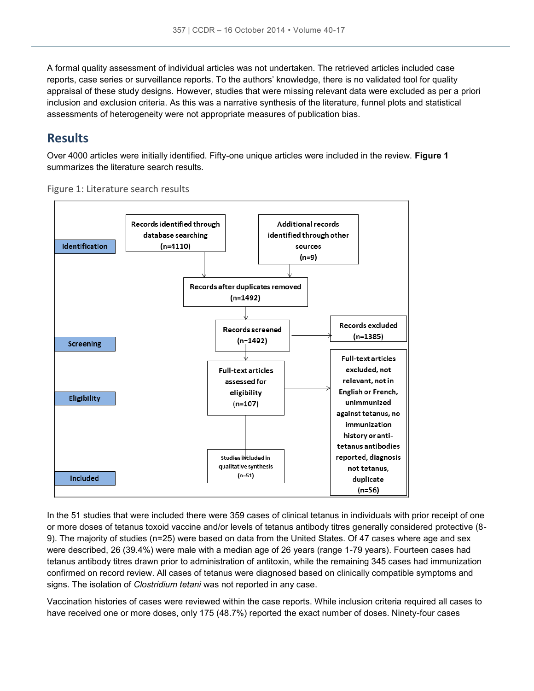A formal quality assessment of individual articles was not undertaken. The retrieved articles included case reports, case series or surveillance reports. To the authors' knowledge, there is no validated tool for quality appraisal of these study designs. However, studies that were missing relevant data were excluded as per a priori inclusion and exclusion criteria. As this was a narrative synthesis of the literature, funnel plots and statistical assessments of heterogeneity were not appropriate measures of publication bias.

#### **Results**

Over 4000 articles were initially identified. Fifty-one unique articles were included in the review. **Figure 1** summarizes the literature search results.





In the 51 studies that were included there were 359 cases of clinical tetanus in individuals with prior receipt of one or more doses of tetanus toxoid vaccine and/or levels of tetanus antibody titres generally considered protective (8- 9). The majority of studies (n=25) were based on data from the United States. Of 47 cases where age and sex were described, 26 (39.4%) were male with a median age of 26 years (range 1-79 years). Fourteen cases had tetanus antibody titres drawn prior to administration of antitoxin, while the remaining 345 cases had immunization confirmed on record review. All cases of tetanus were diagnosed based on clinically compatible symptoms and signs. The isolation of *Clostridium tetani* was not reported in any case.

Vaccination histories of cases were reviewed within the case reports. While inclusion criteria required all cases to have received one or more doses, only 175 (48.7%) reported the exact number of doses. Ninety-four cases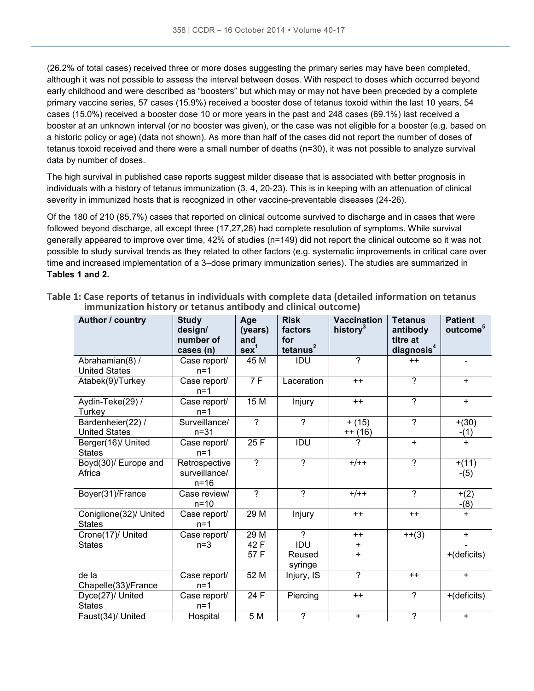(26.2% of total cases) received three or more doses suggesting the primary series may have been completed, although it was not possible to assess the interval between doses. With respect to doses which occurred beyond early childhood and were described as "boosters" but which may or may not have been preceded by a complete primary vaccine series, 57 cases (15.9%) received a booster dose of tetanus toxoid within the last 10 years, 54 cases (15.0%) received a booster dose 10 or more years in the past and 248 cases (69.1%) last received a booster at an unknown interval (or no booster was given), or the case was not eligible for a booster (e.g. based on a historic policy or age) (data not shown). As more than half of the cases did not report the number of doses of tetanus toxoid received and there were a small number of deaths (n=30), it was not possible to analyze survival data by number of doses.

The high survival in published case reports suggest milder disease that is associated with better prognosis in individuals with a history of tetanus immunization (3, 4, 20-23). This is in keeping with an attenuation of clinical severity in immunized hosts that is recognized in other vaccine-preventable diseases (24-26).

Of the 180 of 210 (85.7%) cases that reported on clinical outcome survived to discharge and in cases that were followed beyond discharge, all except three (17,27,28) had complete resolution of symptoms. While survival generally appeared to improve over time, 42% of studies (n=149) did not report the clinical outcome so it was not possible to study survival trends as they related to other factors (e.g. systematic improvements in critical care over time and increased implementation of a 3–dose primary immunization series). The studies are summarized in **Tables 1 and 2.**

| Author / country                          | <b>Study</b><br>design/<br>number of<br>cases (n) | Age<br>(years)<br>and<br>sex <sup>1</sup> | <b>Risk</b><br>factors<br>for<br>tetanus <sup>2</sup> | <b>Vaccination</b><br>history <sup>3</sup> | <b>Tetanus</b><br>antibody<br>titre at<br>diagnosis <sup>4</sup> | <b>Patient</b><br>outcome <sup>5</sup> |
|-------------------------------------------|---------------------------------------------------|-------------------------------------------|-------------------------------------------------------|--------------------------------------------|------------------------------------------------------------------|----------------------------------------|
| Abrahamian(8) /<br><b>United States</b>   | Case report/<br>$n=1$                             | 45 M                                      | IDU                                                   | $\overline{?}$                             | $++$                                                             | $\blacksquare$                         |
| Atabek(9)/Turkey                          | Case report/<br>$n=1$                             | 7F                                        | Laceration                                            | $++$                                       | $\overline{?}$                                                   | $\ddot{}$                              |
| Aydin-Teke(29) /<br>Turkey                | Case report/<br>$n=1$                             | 15M                                       | Injury                                                | $++$                                       | $\overline{?}$                                                   | $+$                                    |
| Bardenheier(22) /<br><b>United States</b> | Surveillance/<br>$n = 31$                         | $\mathcal{P}$                             | $\overline{?}$                                        | $+ (15)$<br>$++(16)$                       | $\overline{?}$                                                   | $+(30)$<br>$-(1)$                      |
| Berger(16)/ United<br><b>States</b>       | Case report/<br>$n=1$                             | 25 F                                      | IDU                                                   | 7                                          | $+$                                                              | $\ddot{}$                              |
| Boyd(30)/ Europe and<br>Africa            | Retrospective<br>surveillance/<br>$n = 16$        | $\overline{?}$                            | $\overline{?}$                                        | $+/++$                                     | $\overline{?}$                                                   | $+(11)$<br>$-(5)$                      |
| Boyer(31)/France                          | Case review/<br>$n=10$                            | $\overline{?}$                            | $\overline{2}$                                        | $+/++$                                     | $\overline{?}$                                                   | $+(2)$<br>$-(8)$                       |
| Coniglione(32)/ United<br><b>States</b>   | Case report/<br>$n=1$                             | 29 M                                      | Injury                                                | $++$                                       | $++$                                                             | $+$                                    |
| Crone(17)/ United                         | Case report/                                      | 29 M                                      | $\overline{2}$                                        | $++$                                       | $++(3)$                                                          | $\ddot{}$                              |
| <b>States</b>                             | $n=3$                                             | 42 F                                      | IDU                                                   | $\ddot{}$                                  |                                                                  |                                        |
|                                           |                                                   | 57 F                                      | Reused                                                | $+$                                        |                                                                  | +(deficits)                            |
|                                           |                                                   |                                           | syringe                                               |                                            |                                                                  |                                        |
| de la<br>Chapelle(33)/France              | Case report/<br>$n=1$                             | 52 M                                      | Injury, IS                                            | $\gamma$                                   | $++$                                                             | $\ddot{}$                              |
| Dyce(27)/ United<br><b>States</b>         | Case report/<br>$n=1$                             | 24 F                                      | Piercing                                              | $++$                                       | ?                                                                | +(deficits)                            |
| Faust(34)/ United                         | Hospital                                          | 5 M                                       | $\overline{\phantom{0}}$                              | $+$                                        | $\overline{2}$                                                   | $+$                                    |

|  | Table 1: Case reports of tetanus in individuals with complete data (detailed information on tetanus |  |  |
|--|-----------------------------------------------------------------------------------------------------|--|--|
|  | immunization history or tetanus antibody and clinical outcome)                                      |  |  |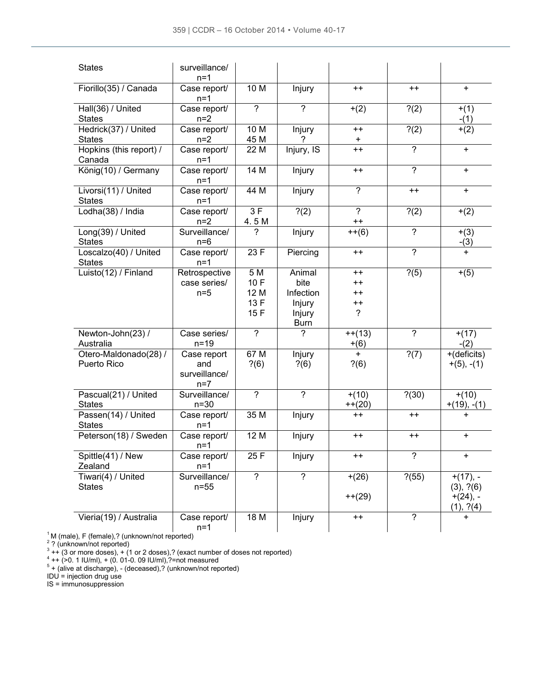| <b>States</b>                          | surveillance/<br>$n=1$                       |                                    |                                                                |                                                                      |                   |                                                     |
|----------------------------------------|----------------------------------------------|------------------------------------|----------------------------------------------------------------|----------------------------------------------------------------------|-------------------|-----------------------------------------------------|
| Fiorillo(35) / Canada                  | Case report/<br>$n=1$                        | 10 M                               | Injury                                                         | $++$                                                                 | $++$              | $\ddot{}$                                           |
| Hall(36) / United<br><b>States</b>     | Case report/<br>$n=2$                        | $\overline{?}$                     | $\overline{?}$                                                 | $+(2)$                                                               | ?(2)              | $+(1)$<br>$-(1)$                                    |
| Hedrick(37) / United<br><b>States</b>  | Case report/<br>$n=2$                        | 10 M<br>45 M                       | Injury                                                         | $++$<br>$\ddot{}$                                                    | ?(2)              | $+(2)$                                              |
| Hopkins (this report) /<br>Canada      | Case report/<br>$n=1$                        | 22 M                               | $\overline{Inj}$ ury, IS                                       | $++$                                                                 | $\overline{?}$    | $\ddot{}$                                           |
| König(10) / Germany                    | Case report/<br>$n=1$                        | 14M                                | Injury                                                         | $++$                                                                 | $\overline{?}$    | $\ddot{}$                                           |
| Livorsi(11) / United<br><b>States</b>  | Case report/<br>$n=1$                        | 44 M                               | Injury                                                         | $\overline{2}$                                                       | $++$              | $\ddot{}$                                           |
| Lodha(38) / India                      | Case report/<br>$n=2$                        | 3F<br>4.5 M                        | ?(2)                                                           | $\tilde{?}$<br>$++$                                                  | ?(2)              | $+(2)$                                              |
| Long(39) / United<br><b>States</b>     | Surveillance/<br>$n=6$                       | 2                                  | Injury                                                         | $++(6)$                                                              | $\overline{?}$    | $+(3)$<br>$-(3)$                                    |
| Loscalzo(40) / United<br><b>States</b> | Case report/<br>$n=1$                        | 23 F                               | Piercing                                                       | $++$                                                                 | $\overline{?}$    | $\ddot{}$                                           |
| Luisto $(12)$ / Finland                | Retrospective<br>case series/<br>$n=5$       | 5 M<br>10F<br>12 M<br>13 F<br>15 F | Animal<br>bite<br>Infection<br>Injury<br>Injury<br><b>Burn</b> | $++$<br>$^{\mathrm{+}}$<br>$^{\mathrm{+}}$<br>$^{++}$<br>$\tilde{?}$ | $\overline{?}(5)$ | $+(5)$                                              |
| Newton-John(23) /<br>Australia         | Case series/<br>$n=19$                       | $\overline{2}$                     | 7                                                              | $++(13)$<br>$+(6)$                                                   | $\overline{2}$    | $+(17)$<br>$-(2)$                                   |
| Otero-Maldonado(28) /<br>Puerto Rico   | Case report<br>and<br>surveillance/<br>$n=7$ | 67 M<br>? (6)                      | Injury<br>? (6)                                                | $+$<br>? (6)                                                         | $\overline{?}(7)$ | $+(deficits)$<br>$+(5), -(1)$                       |
| Pascual(21) / United<br><b>States</b>  | Surveillance/<br>$n = 30$                    | $\overline{\mathcal{C}}$           | $\overline{?}$                                                 | $+(10)$<br>$++(20)$                                                  | ? (30)            | $+(10)$<br>$+(19), -(1)$                            |
| Passen(14) / United<br><b>States</b>   | Case report/<br>$n=1$                        | 35 M                               | Injury                                                         | $++$                                                                 | $++$              | $\ddot{}$                                           |
| Peterson(18) / Sweden                  | Case report/<br>$n=1$                        | 12 M                               | Injury                                                         | $++$                                                                 | $++$              | +                                                   |
| Spittle(41) / New<br>Zealand           | Case report/<br>$n=1$                        | 25 F                               | Injury                                                         | $^{\mathrm{+}}$                                                      | $\overline{?}$    | +                                                   |
| Tiwari(4) / United<br><b>States</b>    | Surveillance/<br>$n=55$                      | $\overline{?}$                     | ?                                                              | $+(26)$<br>$+$ + (29)                                                | ? (55)            | $+(17), -$<br>(3), ?(6)<br>$+(24)$ , -<br>(1), ?(4) |
| Vieria(19) / Australia                 | Case report/<br>$n=1$                        | 18M                                | Injury                                                         | $++$                                                                 | $\overline{?}$    | $\ddot{}$                                           |

<sup>1</sup>M (male), F (female),? (unknown/not reported)<br><sup>2</sup> ? (unknown/not reported)<br><sup>3</sup> ++ (3 or more doses), + (1 or 2 doses),? (exact number of doses not reported)<br><sup>4</sup> ++ (>0. 1 IU/ml), + (0. 01-0. 09 IU/ml),?=not measured<br><sup>5</sup>

IDU = injection drug use

IS = immunosuppression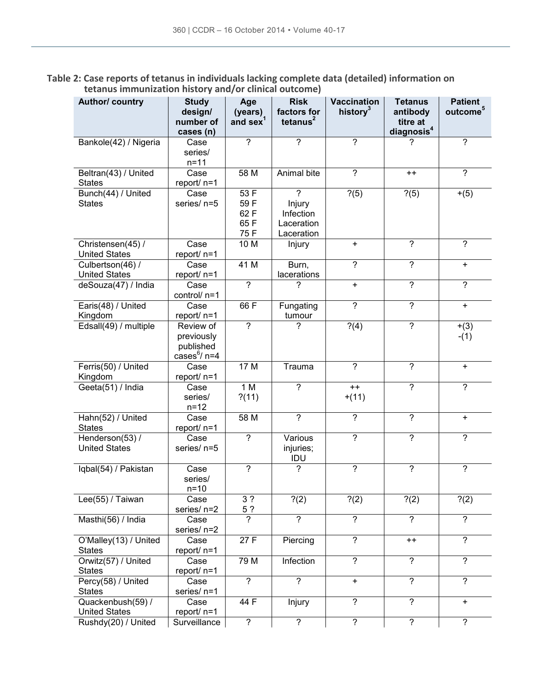**Table 2: Case reports of tetanus in individuals lacking complete data (detailed) information on tetanus immunization history and/or clinical outcome)**

| Author/ country                           | <b>Study</b><br>design/<br>number of<br>cases (n)      | Age<br>(years)<br>and sex <sup>1</sup> | <b>Risk</b><br>factors for<br>tetanus $2$                         | <b>Vaccination</b><br>history <sup>3</sup> | <b>Tetanus</b><br>antibody<br>titre at<br>diagnosis <sup>4</sup> | <b>Patient</b><br>outcome <sup>5</sup> |
|-------------------------------------------|--------------------------------------------------------|----------------------------------------|-------------------------------------------------------------------|--------------------------------------------|------------------------------------------------------------------|----------------------------------------|
| Bankole(42) / Nigeria                     | Case<br>series/<br>$n = 11$                            | $\gamma$                               | $\overline{?}$                                                    | $\overline{?}$                             | 7                                                                | $\overline{?}$                         |
| Beltran(43) / United<br><b>States</b>     | Case<br>report/ n=1                                    | 58 M                                   | Animal bite                                                       | $\overline{?}$                             | $++$                                                             | $\overline{?}$                         |
| Bunch(44) / United<br><b>States</b>       | Case<br>series/ n=5                                    | 53 F<br>59F<br>62 F<br>65F<br>75 F     | $\overline{?}$<br>Injury<br>Infection<br>Laceration<br>Laceration | ? (5)                                      | ? (5)                                                            | $+(5)$                                 |
| Christensen(45) /<br><b>United States</b> | Case<br>report/ n=1                                    | 10 <sub>M</sub>                        | Injury                                                            | $\ddot{}$                                  | $\overline{?}$                                                   | $\overline{2}$                         |
| Culbertson(46) /<br><b>United States</b>  | Case<br>report/ n=1                                    | 41 M                                   | Burn,<br>lacerations                                              | $\overline{?}$                             | $\overline{?}$                                                   | $\ddot{}$                              |
| deSouza(47) / India                       | Case<br>control/ n=1                                   | ?                                      | 7                                                                 | +                                          | ?                                                                | ?                                      |
| Earis(48) / United<br>Kingdom             | Case<br>report/ n=1                                    | 66 F                                   | Fungating<br>tumour                                               | $\overline{?}$                             | $\overline{?}$                                                   | $+$                                    |
| Edsall(49) / multiple                     | Review of<br>previously<br>published<br>cases $6/$ n=4 | $\overline{?}$                         | 7                                                                 | $\overline{?}(4)$                          | $\overline{?}$                                                   | $+(3)$<br>$-(1)$                       |
| Ferris(50) / United<br>Kingdom            | Case<br>report/ n=1                                    | 17 M                                   | Trauma                                                            | $\overline{?}$                             | $\overline{\cdot}$                                               | $\ddot{}$                              |
| Geeta(51) / India                         | Case<br>series/<br>$n = 12$                            | 1 M<br>? (11)                          | $\overline{?}$                                                    | $++$<br>$+(11)$                            | $\overline{?}$                                                   | $\overline{?}$                         |
| Hahn(52) / United<br><b>States</b>        | Case<br>report/ n=1                                    | 58 M                                   | $\overline{?}$                                                    | $\overline{?}$                             | $\overline{?}$                                                   | $\ddot{}$                              |
| Henderson(53) /<br><b>United States</b>   | Case<br>series/ n=5                                    | $\overline{2}$                         | Various<br>injuries;<br>IDU                                       | $\overline{?}$                             | $\overline{?}$                                                   | ?                                      |
| Iqbal(54) / Pakistan                      | Case<br>series/<br>$n=10$                              | $\overline{?}$                         | $\overline{?}$                                                    | $\overline{?}$                             | $\overline{?}$                                                   | $\overline{?}$                         |
| Lee(55) / Taiwan                          | Case<br>series/ n=2                                    | 3 <sub>2</sub><br>5 ?                  | $\overline{?}(2)$                                                 | $\overline{?}(2)$                          | ?(2)                                                             | $\overline{?}(2)$                      |
| Masthi(56) / India                        | Case<br>series/ n=2                                    | $\overline{?}$                         | $\overline{?}$                                                    | $\overline{?}$                             | $\overline{?}$                                                   | $\overline{?}$                         |
| O'Malley(13) / United<br><b>States</b>    | Case<br>report/ n=1                                    | 27 F                                   | Piercing                                                          | $\overline{?}$                             | $^{++}$                                                          | $\overline{?}$                         |
| Orwitz(57) / United<br><b>States</b>      | Case<br>report/ n=1                                    | 79 M                                   | Infection                                                         | $\overline{?}$                             | $\overline{?}$                                                   | $\overline{?}$                         |
| Percy(58) / United<br><b>States</b>       | Case<br>series/ n=1                                    | $\overline{?}$                         | $\overline{?}$                                                    | $\pm$                                      | $\overline{\cdot}$                                               | $\overline{?}$                         |
| Quackenbush(59) /<br><b>United States</b> | Case<br>report/ n=1                                    | 44 F                                   | Injury                                                            | $\overline{?}$                             | $\overline{?}$                                                   | $\pm$                                  |
| Rushdy(20) / United                       | Surveillance                                           | $\overline{?}$                         | $\overline{?}$                                                    | $\overline{?}$                             | $\overline{?}$                                                   | $\overline{?}$                         |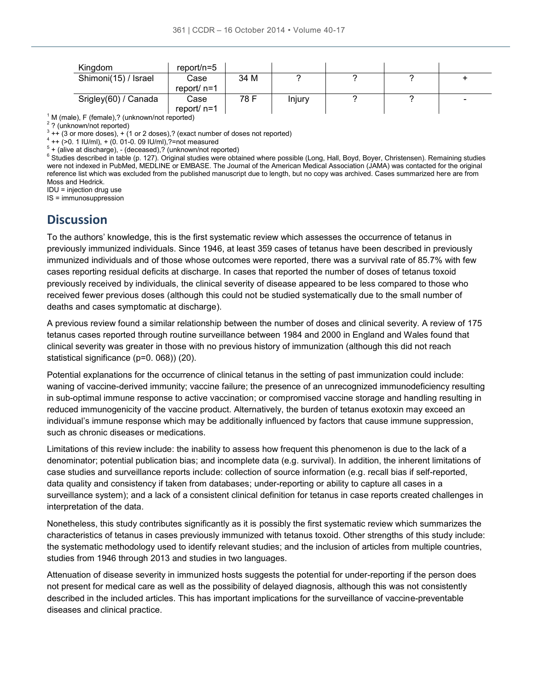| Kingdom                                         | report/n=5    |      |        |  |  |  |  |
|-------------------------------------------------|---------------|------|--------|--|--|--|--|
| Shimoni(15) / Israel                            | Case          | 34 M |        |  |  |  |  |
|                                                 | report/ $n=1$ |      |        |  |  |  |  |
| Srigley(60) / Canada                            | Case          | 78 F | Injury |  |  |  |  |
|                                                 | report/ n=1   |      |        |  |  |  |  |
| $\Box$ $\Box$ (fomalo) 2 (unknown/not reported) |               |      |        |  |  |  |  |

 $1$  M (male), F (female),? (unknown/not reported)

<sup>2</sup> ? (unknown/not reported)

 $3$  ++ (3 or more doses), + (1 or 2 doses),? (exact number of doses not reported)

 $4 + (-20.1$  IU/ml),  $+ (0.01 - 0.09$  IU/ml), ?=not measured

 $5 +$  (alive at discharge), - (deceased),? (unknown/not reported)

<sup>6</sup> Studies described in table (p. 127). Original studies were obtained where possible (Long, Hall, Boyd, Boyer, Christensen). Remaining studies were not indexed in PubMed, MEDLINE or EMBASE. The Journal of the American Medical Association (JAMA) was contacted for the original reference list which was excluded from the published manuscript due to length, but no copy was archived. Cases summarized here are from Moss and Hedrick.

IDU = injection drug use

IS = immunosuppression

#### **Discussion**

To the authors' knowledge, this is the first systematic review which assesses the occurrence of tetanus in previously immunized individuals. Since 1946, at least 359 cases of tetanus have been described in previously immunized individuals and of those whose outcomes were reported, there was a survival rate of 85.7% with few cases reporting residual deficits at discharge. In cases that reported the number of doses of tetanus toxoid previously received by individuals, the clinical severity of disease appeared to be less compared to those who received fewer previous doses (although this could not be studied systematically due to the small number of deaths and cases symptomatic at discharge).

A previous review found a similar relationship between the number of doses and clinical severity. A review of 175 tetanus cases reported through routine surveillance between 1984 and 2000 in England and Wales found that clinical severity was greater in those with no previous history of immunization (although this did not reach statistical significance (p=0. 068)) (20).

Potential explanations for the occurrence of clinical tetanus in the setting of past immunization could include: waning of vaccine-derived immunity; vaccine failure; the presence of an unrecognized immunodeficiency resulting in sub-optimal immune response to active vaccination; or compromised vaccine storage and handling resulting in reduced immunogenicity of the vaccine product. Alternatively, the burden of tetanus exotoxin may exceed an individual's immune response which may be additionally influenced by factors that cause immune suppression, such as chronic diseases or medications.

Limitations of this review include: the inability to assess how frequent this phenomenon is due to the lack of a denominator; potential publication bias; and incomplete data (e.g. survival). In addition, the inherent limitations of case studies and surveillance reports include: collection of source information (e.g. recall bias if self-reported, data quality and consistency if taken from databases; under-reporting or ability to capture all cases in a surveillance system); and a lack of a consistent clinical definition for tetanus in case reports created challenges in interpretation of the data.

Nonetheless, this study contributes significantly as it is possibly the first systematic review which summarizes the characteristics of tetanus in cases previously immunized with tetanus toxoid. Other strengths of this study include: the systematic methodology used to identify relevant studies; and the inclusion of articles from multiple countries, studies from 1946 through 2013 and studies in two languages.

Attenuation of disease severity in immunized hosts suggests the potential for under-reporting if the person does not present for medical care as well as the possibility of delayed diagnosis, although this was not consistently described in the included articles. This has important implications for the surveillance of vaccine-preventable diseases and clinical practice.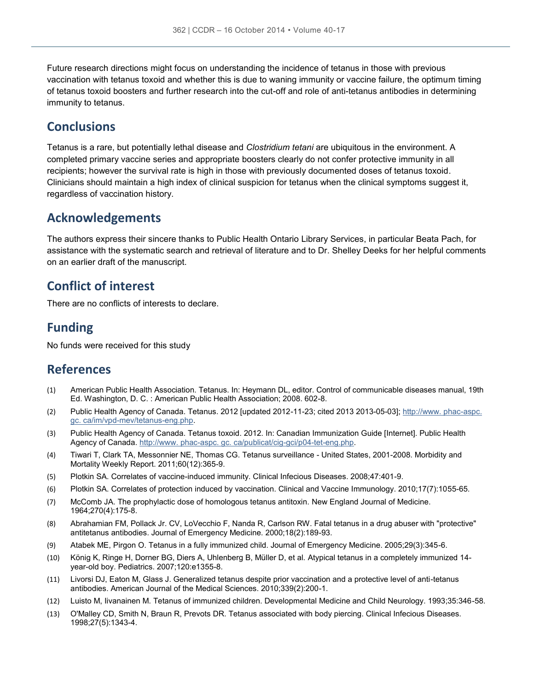Future research directions might focus on understanding the incidence of tetanus in those with previous vaccination with tetanus toxoid and whether this is due to waning immunity or vaccine failure, the optimum timing of tetanus toxoid boosters and further research into the cut-off and role of anti-tetanus antibodies in determining immunity to tetanus.

### **Conclusions**

Tetanus is a rare, but potentially lethal disease and *Clostridium tetani* are ubiquitous in the environment. A completed primary vaccine series and appropriate boosters clearly do not confer protective immunity in all recipients; however the survival rate is high in those with previously documented doses of tetanus toxoid. Clinicians should maintain a high index of clinical suspicion for tetanus when the clinical symptoms suggest it, regardless of vaccination history.

#### **Acknowledgements**

The authors express their sincere thanks to Public Health Ontario Library Services, in particular Beata Pach, for assistance with the systematic search and retrieval of literature and to Dr. Shelley Deeks for her helpful comments on an earlier draft of the manuscript.

### **Conflict of interest**

There are no conflicts of interests to declare.

### **Funding**

No funds were received for this study

#### **References**

- (1) American Public Health Association. Tetanus. In: Heymann DL, editor. Control of communicable diseases manual, 19th Ed. Washington, D. C. : American Public Health Association; 2008. 602-8.
- (2) Public Health Agency of Canada. Tetanus. 2012 [updated 2012-11-23; cited 2013 2013-05-03]; http://www. phac-aspc. gc. ca/im/vpd-mev/tetanus-eng.php.
- (3) Public Health Agency of Canada. Tetanus toxoid. 2012. In: Canadian Immunization Guide [Internet]. Public Health Agency of Canada. http://www. phac-aspc. gc. ca/publicat/cig-gci/p04-tet-eng.php.
- (4) Tiwari T, Clark TA, Messonnier NE, Thomas CG. Tetanus surveillance United States, 2001-2008. Morbidity and Mortality Weekly Report. 2011;60(12):365-9.
- (5) Plotkin SA. Correlates of vaccine-induced immunity. Clinical Infecious Diseases. 2008;47:401-9.
- (6) Plotkin SA. Correlates of protection induced by vaccination. Clinical and Vaccine Immunology. 2010;17(7):1055-65.
- (7) McComb JA. The prophylactic dose of homologous tetanus antitoxin. New England Journal of Medicine. 1964;270(4):175-8.
- (8) Abrahamian FM, Pollack Jr. CV, LoVecchio F, Nanda R, Carlson RW. Fatal tetanus in a drug abuser with "protective" antitetanus antibodies. Journal of Emergency Medicine. 2000;18(2):189-93.
- (9) Atabek ME, Pirgon O. Tetanus in a fully immunized child. Journal of Emergency Medicine. 2005;29(3):345-6.
- (10) König K, Ringe H, Dorner BG, Diers A, Uhlenberg B, Müller D, et al. Atypical tetanus in a completely immunized 14 year-old boy. Pediatrics. 2007;120:e1355-8.
- (11) Livorsi DJ, Eaton M, Glass J. Generalized tetanus despite prior vaccination and a protective level of anti-tetanus antibodies. American Journal of the Medical Sciences. 2010;339(2):200-1.
- (12) Luisto M, Iivanainen M. Tetanus of immunized children. Developmental Medicine and Child Neurology. 1993;35:346-58.
- (13) O'Malley CD, Smith N, Braun R, Prevots DR. Tetanus associated with body piercing. Clinical Infecious Diseases. 1998;27(5):1343-4.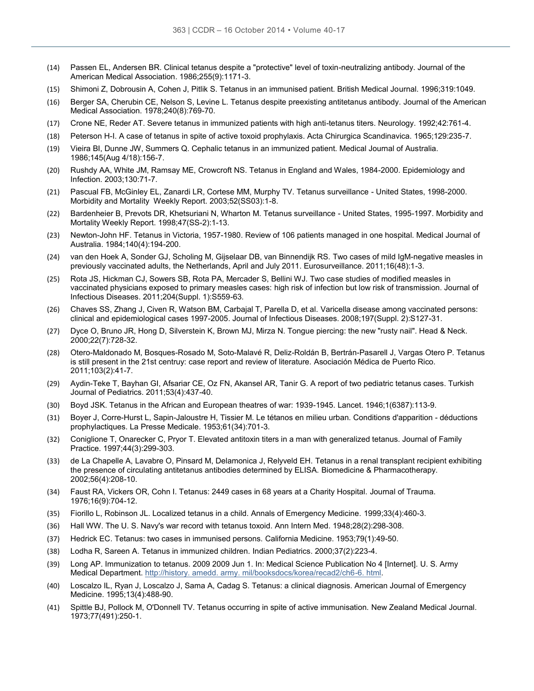- (14) Passen EL, Andersen BR. Clinical tetanus despite a "protective" level of toxin-neutralizing antibody. Journal of the American Medical Association. 1986;255(9):1171-3.
- (15) Shimoni Z, Dobrousin A, Cohen J, Pitlik S. Tetanus in an immunised patient. British Medical Journal. 1996;319:1049.
- (16) Berger SA, Cherubin CE, Nelson S, Levine L. Tetanus despite preexisting antitetanus antibody. Journal of the American Medical Association. 1978;240(8):769-70.
- (17) Crone NE, Reder AT. Severe tetanus in immunized patients with high anti-tetanus titers. Neurology. 1992;42:761-4.
- (18) Peterson H-I. A case of tetanus in spite of active toxoid prophylaxis. Acta Chirurgica Scandinavica. 1965;129:235-7.
- (19) Vieira BI, Dunne JW, Summers Q. Cephalic tetanus in an immunized patient. Medical Journal of Australia. 1986;145(Aug 4/18):156-7.
- (20) Rushdy AA, White JM, Ramsay ME, Crowcroft NS. Tetanus in England and Wales, 1984-2000. Epidemiology and Infection. 2003;130:71-7.
- (21) Pascual FB, McGinley EL, Zanardi LR, Cortese MM, Murphy TV. Tetanus surveillance United States, 1998-2000. Morbidity and Mortality Weekly Report. 2003;52(SS03):1-8.
- (22) Bardenheier B, Prevots DR, Khetsuriani N, Wharton M. Tetanus surveillance United States, 1995-1997. Morbidity and Mortality Weekly Report. 1998;47(SS-2):1-13.
- (23) Newton-John HF. Tetanus in Victoria, 1957-1980. Review of 106 patients managed in one hospital. Medical Journal of Australia. 1984;140(4):194-200.
- (24) van den Hoek A, Sonder GJ, Scholing M, Gijselaar DB, van Binnendijk RS. Two cases of mild IgM-negative measles in previously vaccinated adults, the Netherlands, April and July 2011. Eurosurveillance. 2011;16(48):1-3.
- (25) Rota JS, Hickman CJ, Sowers SB, Rota PA, Mercader S, Bellini WJ. Two case studies of modified measles in vaccinated physicians exposed to primary measles cases: high risk of infection but low risk of transmission. Journal of Infectious Diseases. 2011;204(Suppl. 1):S559-63.
- (26) Chaves SS, Zhang J, Civen R, Watson BM, Carbajal T, Parella D, et al. Varicella disease among vaccinated persons: clinical and epidemiological cases 1997-2005. Journal of Infectious Diseases. 2008;197(Suppl. 2):S127-31.
- (27) Dyce O, Bruno JR, Hong D, Silverstein K, Brown MJ, Mirza N. Tongue piercing: the new "rusty nail". Head & Neck. 2000;22(7):728-32.
- (28) Otero-Maldonado M, Bosques-Rosado M, Soto-Malavé R, Deliz-Roldán B, Bertrán-Pasarell J, Vargas Otero P. Tetanus is still present in the 21st centruy: case report and review of literature. Asociación Médica de Puerto Rico. 2011;103(2):41-7.
- (29) Aydin-Teke T, Bayhan GI, Afsariar CE, Oz FN, Akansel AR, Tanir G. A report of two pediatric tetanus cases. Turkish Journal of Pediatrics. 2011;53(4):437-40.
- (30) Boyd JSK. Tetanus in the African and European theatres of war: 1939-1945. Lancet. 1946;1(6387):113-9.
- (31) Boyer J, Corre-Hurst L, Sapin-Jaloustre H, Tissier M. Le tétanos en milieu urban. Conditions d'apparition déductions prophylactiques. La Presse Medicale. 1953;61(34):701-3.
- (32) Coniglione T, Onarecker C, Pryor T. Elevated antitoxin titers in a man with generalized tetanus. Journal of Family Practice. 1997;44(3):299-303.
- (33) de La Chapelle A, Lavabre O, Pinsard M, Delamonica J, Relyveld EH. Tetanus in a renal transplant recipient exhibiting the presence of circulating antitetanus antibodies determined by ELISA. Biomedicine & Pharmacotherapy. 2002;56(4):208-10.
- (34) Faust RA, Vickers OR, Cohn I. Tetanus: 2449 cases in 68 years at a Charity Hospital. Journal of Trauma. 1976;16(9):704-12.
- (35) Fiorillo L, Robinson JL. Localized tetanus in a child. Annals of Emergency Medicine. 1999;33(4):460-3.
- (36) Hall WW. The U. S. Navy's war record with tetanus toxoid. Ann Intern Med. 1948;28(2):298-308.
- (37) Hedrick EC. Tetanus: two cases in immunised persons. California Medicine. 1953;79(1):49-50.
- (38) Lodha R, Sareen A. Tetanus in immunized children. Indian Pediatrics. 2000;37(2):223-4.
- (39) Long AP. Immunization to tetanus. 2009 2009 Jun 1. In: Medical Science Publication No 4 [Internet]. U. S. Army Medical Department. http://history. amedd. army. mil/booksdocs/korea/recad2/ch6-6. html.
- (40) Loscalzo IL, Ryan J, Loscalzo J, Sama A, Cadag S. Tetanus: a clinical diagnosis. American Journal of Emergency Medicine. 1995;13(4):488-90.
- (41) Spittle BJ, Pollock M, O'Donnell TV. Tetanus occurring in spite of active immunisation. New Zealand Medical Journal. 1973;77(491):250-1.